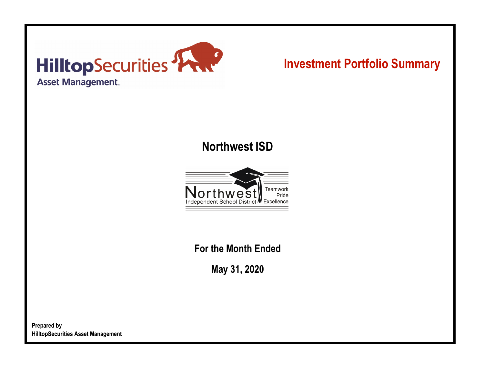

# **Investment Portfolio Summary**

## **Northwest ISD**



**For the Month Ended**

**May 31, 2020**

**Prepared by HilltopSecurities Asset Management**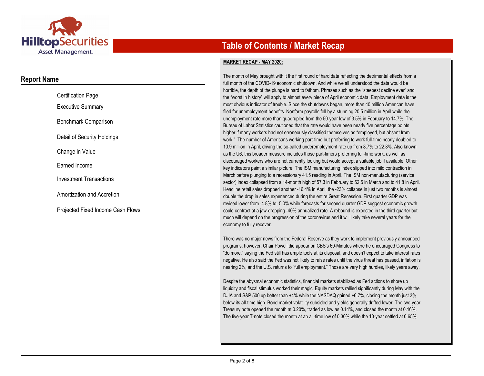

### **Report Name**

| <b>Certification Page</b>         |
|-----------------------------------|
| <b>Executive Summary</b>          |
| Benchmark Comparison              |
| Detail of Security Holdings       |
| Change in Value                   |
| Farned Income                     |
| <b>Investment Transactions</b>    |
| Amortization and Accretion        |
| Proiected Fixed Income Cash Flows |

## **Table of Contents / Market Recap**

#### **MARKET RECAP - MAY 2020:**

The month of May brought with it the first round of hard data reflecting the detrimental effects from a full month of the COVID-19 economic shutdown. And while we all understood the data would be horrible, the depth of the plunge is hard to fathom. Phrases such as the "steepest decline ever" and the "worst in history" will apply to almost every piece of April economic data. Employment data is the most obvious indicator of trouble. Since the shutdowns began, more than 40 million American have filed for unemployment benefits. Nonfarm payrolls fell by a stunning 20.5 million in April while the unemployment rate more than quadrupled from the 50-year low of 3.5% in February to 14.7%. The Bureau of Labor Statistics cautioned that the rate would have been nearly five percentage points higher if many workers had not erroneously classified themselves as "employed, but absent from work." The number of Americans working part-time but preferring to work full-time nearly doubled to 10.9 million in April, driving the so-called underemployment rate up from 8.7% to 22.8%. Also known as the U6, this broader measure includes those part-timers preferring full-time work, as well as discouraged workers who are not currently looking but would accept a suitable job if available. Other key indicators paint a similar picture. The ISM manufacturing index slipped into mild contraction in March before plunging to a recessionary 41.5 reading in April. The ISM non-manufacturing (service sector) index collapsed from a 14-month high of 57.3 in February to 52.5 in March and to 41.8 in April. Headline retail sales dropped another -16.4% in April; the -23% collapse in just two months is almost double the drop in sales experienced during the entire Great Recession. First quarter GDP was revised lower from -4.8% to -5.0% while forecasts for second quarter GDP suggest economic growth could contract at a jaw-dropping -40% annualized rate. A rebound is expected in the third quarter but much will depend on the progression of the coronavirus and it will likely take several years for the economy to fully recover.

There was no major news from the Federal Reserve as they work to implement previously announced programs; however, Chair Powell did appear on CBS's 60-Minutes where he encouraged Congress to "do more," saying the Fed still has ample tools at its disposal, and doesn't expect to take interest rates negative. He also said the Fed was not likely to raise rates until the virus threat has passed, inflation is nearing 2%, and the U.S. returns to "full employment." Those are very high hurdles, likely years away.

Despite the abysmal economic statistics, financial markets stabilized as Fed actions to shore up liquidity and fiscal stimulus worked their magic. Equity markets rallied significantly during May with the DJIA and S&P 500 up better than +4% while the NASDAQ gained +6.7%, closing the month just 3% below its all-time high. Bond market volatility subsided and yields generally drifted lower. The two-year Treasury note opened the month at 0.20%, traded as low as 0.14%, and closed the month at 0.16%. The five-year T-note closed the month at an all-time low of 0.30% while the 10-year settled at 0.65%.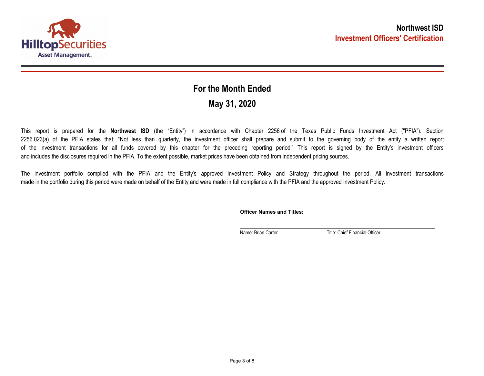

## **May 31, 2020 For the Month Ended**

This report is prepared for the **Northwest ISD** (the "Entity") in accordance with Chapter 2256 of the Texas Public Funds Investment Act ("PFIA"). Section 2256.023(a) of the PFIA states that: "Not less than quarterly, the investment officer shall prepare and submit to the governing body of the entity a written report of the investment transactions for all funds covered by this chapter for the preceding reporting period." This report is signed by the Entity's investment officers and includes the disclosures required in the PFIA. To the extent possible, market prices have been obtained from independent pricing sources.

The investment portfolio complied with the PFIA and the Entity's approved Investment Policy and Strategy throughout the period. All investment transactions made in the portfolio during this period were made on behalf of the Entity and were made in full compliance with the PFIA and the approved Investment Policy.

**Officer Names and Titles:**

Name: Brian Carter Title: Chief Financial Officer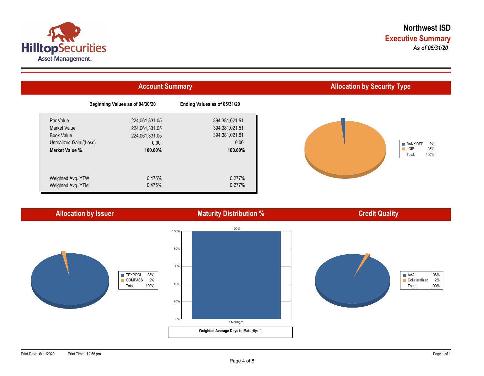



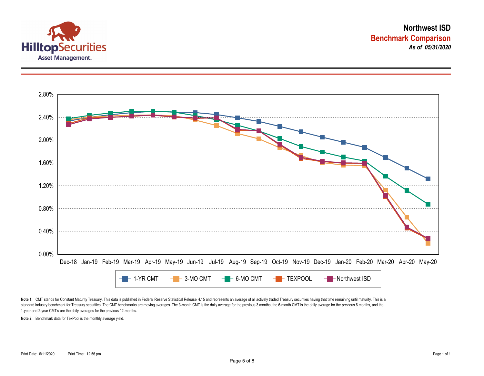



Note 1: CMT stands for Constant Maturity Treasury. This data is published in Federal Reserve Statistical Release H.15 and represents an average of all actively traded Treasury securities having that time remaining until ma standard industry benchmark for Treasury securities. The CMT benchmarks are moving averages. The 3-month CMT is the daily average for the previous 3 months, the 6-month CMT is the daily average for the previous 6 months, a 1-year and 2-year CMT's are the daily averages for the previous 12-months.

**Note 2:** Benchmark data for TexPool is the monthly average yield.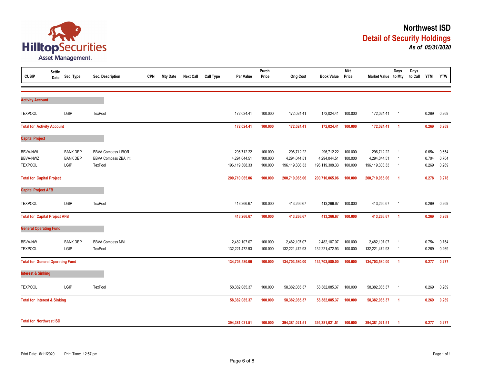

| <b>CUSIP</b>                            | <b>Settle</b><br>Date | Sec. Type       | Sec. Description          | <b>CPN</b> | <b>Mty Date</b> | <b>Next Call</b> | <b>Call Type</b> | Par Value      | Purch<br>Price | <b>Orig Cost</b> | <b>Book Value</b> | <b>Mkt</b><br>Price | Market Value to Mty | Days                    | Days<br>to Call | <b>YTM</b> | <b>YTW</b> |
|-----------------------------------------|-----------------------|-----------------|---------------------------|------------|-----------------|------------------|------------------|----------------|----------------|------------------|-------------------|---------------------|---------------------|-------------------------|-----------------|------------|------------|
|                                         |                       |                 |                           |            |                 |                  |                  |                |                |                  |                   |                     |                     |                         |                 |            |            |
| <b>Activity Account</b>                 |                       |                 |                           |            |                 |                  |                  |                |                |                  |                   |                     |                     |                         |                 |            |            |
| <b>TEXPOOL</b>                          |                       | LGIP            | TexPool                   |            |                 |                  |                  | 172,024.41     | 100.000        | 172,024.41       | 172,024.41        | 100.000             | 172,024.41          | $\overline{\mathbf{1}}$ |                 | 0.269      | 0.269      |
| <b>Total for Activity Account</b>       |                       |                 |                           |            |                 |                  |                  | 172,024.41     | 100.000        | 172,024.41       | 172,024.41        | 100.000             | 172,024.41          | $\overline{1}$          |                 | 0.269      | 0.269      |
| <b>Capital Project</b>                  |                       |                 |                           |            |                 |                  |                  |                |                |                  |                   |                     |                     |                         |                 |            |            |
| <b>BBVA-NWL</b>                         |                       | <b>BANK DEP</b> | <b>BBVA Compass LIBOR</b> |            |                 |                  |                  | 296,712.22     | 100.000        | 296,712.22       | 296,712.22        | 100.000             | 296,712.22          | $\overline{1}$          |                 | 0.654      | 0.654      |
| <b>BBVA-NWZ</b>                         |                       | <b>BANK DEP</b> | BBVA Compass ZBA Int      |            |                 |                  |                  | 4,294,044.51   | 100.000        | 4,294,044.51     | 4,294,044.51      | 100.000             | 4,294,044.51        | $\overline{1}$          |                 | 0.704      | 0.704      |
| <b>TEXPOOL</b>                          |                       | LGIP            | TexPool                   |            |                 |                  |                  | 196,119,308.33 | 100.000        | 196,119,308.33   | 196,119,308.33    | 100.000             | 196,119,308.33      | $\overline{1}$          |                 | 0.269      | 0.269      |
| <b>Total for Capital Project</b>        |                       |                 |                           |            |                 |                  |                  | 200,710,065.06 | 100.000        | 200,710,065.06   | 200,710,065.06    | 100.000             | 200,710,065.06      | $\overline{1}$          |                 | 0.278      | 0.278      |
| <b>Capital Project AFB</b>              |                       |                 |                           |            |                 |                  |                  |                |                |                  |                   |                     |                     |                         |                 |            |            |
| <b>TEXPOOL</b>                          |                       | LGIP            | TexPool                   |            |                 |                  |                  | 413,266.67     | 100.000        | 413,266.67       | 413,266.67        | 100.000             | 413,266.67          | $\overline{1}$          |                 | 0.269      | 0.269      |
| <b>Total for Capital Project AFB</b>    |                       |                 |                           |            |                 |                  |                  | 413,266.67     | 100.000        | 413,266.67       | 413,266.67        | 100.000             | 413,266.67          | $\overline{1}$          |                 | 0.269      | 0.269      |
| <b>General Operating Fund</b>           |                       |                 |                           |            |                 |                  |                  |                |                |                  |                   |                     |                     |                         |                 |            |            |
| <b>BBVA-NW</b>                          |                       | <b>BANK DEP</b> | <b>BBVA Compass MM</b>    |            |                 |                  |                  | 2,482,107.07   | 100.000        | 2,482,107.07     | 2,482,107.07      | 100.000             | 2,482,107.07        | $\overline{1}$          |                 | 0.754      | 0.754      |
| <b>TEXPOOL</b>                          |                       | LGIP            | TexPool                   |            |                 |                  |                  | 132,221,472.93 | 100.000        | 132,221,472.93   | 132,221,472.93    | 100.000             | 132,221,472.93      | - 1                     |                 | 0.269      | 0.269      |
| <b>Total for General Operating Fund</b> |                       |                 |                           |            |                 |                  |                  | 134,703,580.00 | 100.000        | 134,703,580.00   | 134,703,580.00    | 100.000             | 134,703,580.00      | $\overline{1}$          |                 | 0.277      | 0.277      |
| <b>Interest &amp; Sinking</b>           |                       |                 |                           |            |                 |                  |                  |                |                |                  |                   |                     |                     |                         |                 |            |            |
| <b>TEXPOOL</b>                          |                       | LGIP            | TexPool                   |            |                 |                  |                  | 58,382,085.37  | 100.000        | 58,382,085.37    | 58,382,085.37     | 100.000             | 58,382,085.37       | $\overline{1}$          |                 | 0.269      | 0.269      |
| <b>Total for Interest &amp; Sinking</b> |                       |                 |                           |            |                 |                  |                  | 58,382,085.37  | 100.000        | 58,382,085.37    | 58,382,085.37     | 100.000             | 58,382,085.37       | $\overline{1}$          |                 | 0.269      | 0.269      |
| <b>Total for Northwest ISD</b>          |                       |                 |                           |            |                 |                  |                  |                |                |                  |                   |                     |                     |                         |                 |            |            |
|                                         |                       |                 |                           |            |                 |                  |                  | 394,381,021.51 | 100.000        | 394,381,021.51   | 394,381,021.51    | 100.000             | 394,381,021.51      |                         |                 | 0.277      | 0.277      |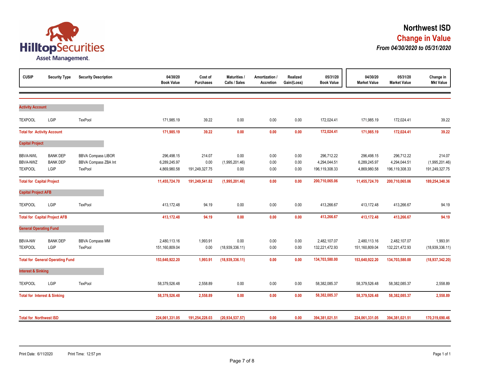

| <b>CUSIP</b>                                  | <b>Security Type</b>                       | <b>Security Description</b>                                  | 04/30/20<br><b>Book Value</b>              | Cost of<br><b>Purchases</b>      | <b>Maturities /</b><br>Calls / Sales | Amortization /<br>Accretion | Realized<br>Gain/(Loss) | 05/31/20<br><b>Book Value</b>                | 04/30/20<br><b>Market Value</b>            | 05/31/20<br><b>Market Value</b>              | Change in<br><b>Mkt Value</b>              |
|-----------------------------------------------|--------------------------------------------|--------------------------------------------------------------|--------------------------------------------|----------------------------------|--------------------------------------|-----------------------------|-------------------------|----------------------------------------------|--------------------------------------------|----------------------------------------------|--------------------------------------------|
|                                               |                                            |                                                              |                                            |                                  |                                      |                             |                         |                                              |                                            |                                              |                                            |
| <b>Activity Account</b>                       |                                            |                                                              |                                            |                                  |                                      |                             |                         |                                              |                                            |                                              |                                            |
| <b>TEXPOOL</b>                                | LGIP                                       | TexPool                                                      | 171,985.19                                 | 39.22                            | 0.00                                 | 0.00                        | 0.00                    | 172,024.41                                   | 171,985.19                                 | 172,024.41                                   | 39.22                                      |
| <b>Total for Activity Account</b>             |                                            |                                                              | 171,985.19                                 | 39.22                            | 0.00                                 | 0.00                        | 0.00                    | 172,024.41                                   | 171,985.19                                 | 172,024.41                                   | 39.22                                      |
| <b>Capital Project</b>                        |                                            |                                                              |                                            |                                  |                                      |                             |                         |                                              |                                            |                                              |                                            |
| <b>BBVA-NWL</b><br>BBVA-NWZ<br><b>TEXPOOL</b> | <b>BANK DEP</b><br><b>BANK DEP</b><br>LGIP | <b>BBVA Compass LIBOR</b><br>BBVA Compass ZBA Int<br>TexPool | 296,498.15<br>6,289,245.97<br>4,869,980.58 | 214.07<br>0.00<br>191,249,327.75 | 0.00<br>(1,995,201.46)<br>0.00       | 0.00<br>0.00<br>0.00        | 0.00<br>0.00<br>0.00    | 296,712.22<br>4,294,044.51<br>196,119,308.33 | 296,498.15<br>6,289,245.97<br>4,869,980.58 | 296,712.22<br>4,294,044.51<br>196,119,308.33 | 214.07<br>(1,995,201.46)<br>191,249,327.75 |
| <b>Total for Capital Project</b>              |                                            |                                                              | 11,455,724.70                              | 191,249,541.82                   | (1,995,201.46)                       | 0.00                        | 0.00                    | 200,710,065.06                               | 11,455,724.70                              | 200,710,065.06                               | 189,254,340.36                             |
| <b>Capital Project AFB</b>                    |                                            |                                                              |                                            |                                  |                                      |                             |                         |                                              |                                            |                                              |                                            |
| <b>TEXPOOL</b>                                | LGIP                                       | TexPool                                                      | 413,172.48                                 | 94.19                            | 0.00                                 | 0.00                        | 0.00                    | 413,266.67                                   | 413,172.48                                 | 413,266.67                                   | 94.19                                      |
|                                               | <b>Total for Capital Project AFB</b>       |                                                              | 413,172.48                                 | 94.19                            | 0.00                                 | 0.00                        | 0.00                    | 413,266.67                                   | 413,172.48                                 | 413,266.67                                   | 94.19                                      |
| <b>General Operating Fund</b>                 |                                            |                                                              |                                            |                                  |                                      |                             |                         |                                              |                                            |                                              |                                            |
| <b>BBVA-NW</b><br><b>TEXPOOL</b>              | <b>BANK DEP</b><br>LGIP                    | <b>BBVA Compass MM</b><br>TexPool                            | 2,480,113.16<br>151,160,809.04             | 1,993.91<br>0.00                 | 0.00<br>(18,939,336.11)              | 0.00<br>0.00                | 0.00<br>0.00            | 2,482,107.07<br>132,221,472.93               | 2,480,113.16<br>151,160,809.04             | 2,482,107.07<br>132,221,472.93               | 1,993.91<br>(18,939,336.11)                |
|                                               | <b>Total for General Operating Fund</b>    |                                                              | 153,640,922.20                             | 1,993.91                         | (18,939,336.11)                      | 0.00                        | 0.00                    | 134,703,580.00                               | 153,640,922.20                             | 134,703,580.00                               | (18,937,342.20)                            |
| <b>Interest &amp; Sinking</b>                 |                                            |                                                              |                                            |                                  |                                      |                             |                         |                                              |                                            |                                              |                                            |
| <b>TEXPOOL</b>                                | LGIP                                       | TexPool                                                      | 58,379,526.48                              | 2,558.89                         | 0.00                                 | 0.00                        | 0.00                    | 58,382,085.37                                | 58,379,526.48                              | 58,382,085.37                                | 2,558.89                                   |
| <b>Total for Interest &amp; Sinking</b>       |                                            |                                                              | 58,379,526.48                              | 2,558.89                         | 0.00                                 | 0.00                        | 0.00                    | 58,382,085.37                                | 58,379,526.48                              | 58,382,085.37                                | 2,558.89                                   |
| <b>Total for Northwest ISD</b>                |                                            |                                                              | 224,061,331.05                             | 191,254,228.03                   | (20, 934, 537.57)                    | 0.00                        | 0.00                    | 394,381,021.51                               | 224,061,331.05                             | 394,381,021.51                               | 170,319,690.46                             |